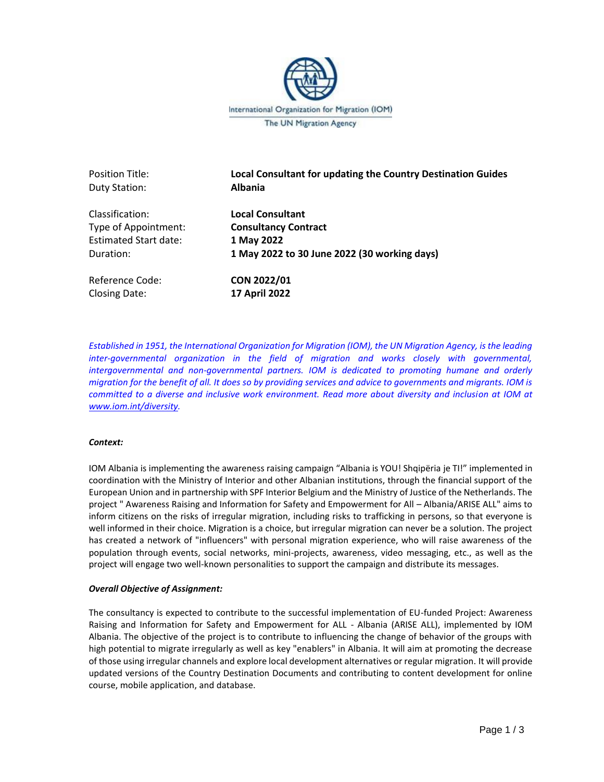

Position Title: **Local Consultant for updating the Country Destination Guides** Duty Station: **Albania**  Classification: **Local Consultant**

Type of Appointment: **Consultancy Contract**  Estimated Start date: **1 May 2022** Duration: **1 May 2022 to 30 June 2022 (30 working days)**

Reference Code: **CON 2022/01** Closing Date: **17 April 2022**

*Established in 1951, the International Organization for Migration (IOM), the UN Migration Agency, is the leading inter-governmental organization in the field of migration and works closely with governmental, intergovernmental and non-governmental partners. IOM is dedicated to promoting humane and orderly migration for the benefit of all. It does so by providing services and advice to governments and migrants. IOM is committed to a diverse and inclusive work environment. Read more about diversity and inclusion at IOM at [www.iom.int/diversity.](http://www.iom.int/diversity)* 

# *Context:*

IOM Albania is implementing the awareness raising campaign "Albania is YOU! Shqipëria je TI!" implemented in coordination with the Ministry of Interior and other Albanian institutions, through the financial support of the European Union and in partnership with SPF Interior Belgium and the Ministry of Justice of the Netherlands. The project " Awareness Raising and Information for Safety and Empowerment for All – Albania/ARISE ALL" aims to inform citizens on the risks of irregular migration, including risks to trafficking in persons, so that everyone is well informed in their choice. Migration is a choice, but irregular migration can never be a solution. The project has created a network of "influencers" with personal migration experience, who will raise awareness of the population through events, social networks, mini-projects, awareness, video messaging, etc., as well as the project will engage two well-known personalities to support the campaign and distribute its messages.

### *Overall Objective of Assignment:*

The consultancy is expected to contribute to the successful implementation of EU-funded Project: Awareness Raising and Information for Safety and Empowerment for ALL - Albania (ARISE ALL), implemented by IOM Albania. The objective of the project is to contribute to influencing the change of behavior of the groups with high potential to migrate irregularly as well as key "enablers" in Albania. It will aim at promoting the decrease of those using irregular channels and explore local development alternatives or regular migration. It will provide updated versions of the Country Destination Documents and contributing to content development for online course, mobile application, and database.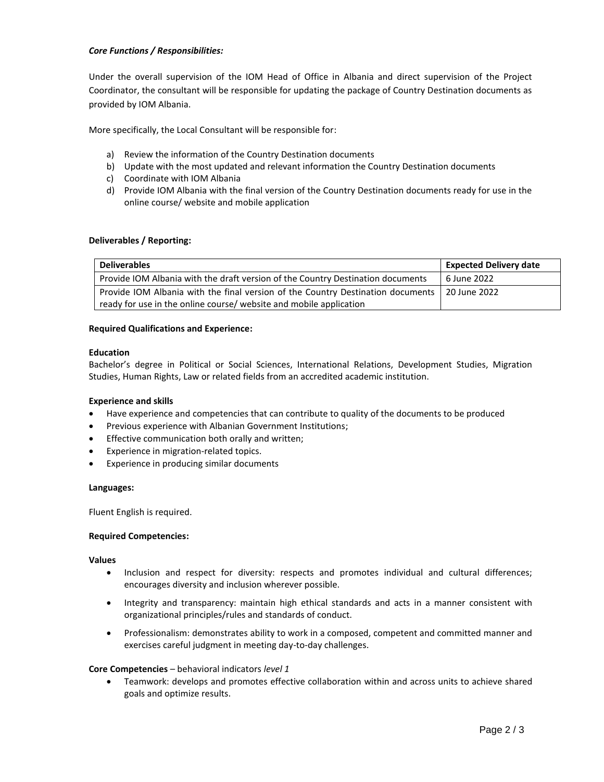## *Core Functions / Responsibilities:*

Under the overall supervision of the IOM Head of Office in Albania and direct supervision of the Project Coordinator, the consultant will be responsible for updating the package of Country Destination documents as provided by IOM Albania.

More specifically, the Local Consultant will be responsible for:

- a) Review the information of the Country Destination documents
- b) Update with the most updated and relevant information the Country Destination documents
- c) Coordinate with IOM Albania
- d) Provide IOM Albania with the final version of the Country Destination documents ready for use in the online course/ website and mobile application

### **Deliverables / Reporting:**

| <b>Deliverables</b>                                                             | <b>Expected Delivery date</b> |
|---------------------------------------------------------------------------------|-------------------------------|
| Provide IOM Albania with the draft version of the Country Destination documents | 6 June 2022                   |
| Provide IOM Albania with the final version of the Country Destination documents | 20 June 2022                  |
| ready for use in the online course/ website and mobile application              |                               |

#### **Required Qualifications and Experience:**

#### **Education**

Bachelor's degree in Political or Social Sciences, International Relations, Development Studies, Migration Studies, Human Rights, Law or related fields from an accredited academic institution.

### **Experience and skills**

- Have experience and competencies that can contribute to quality of the documents to be produced
- Previous experience with Albanian Government Institutions;
- Effective communication both orally and written;
- Experience in migration-related topics.
- Experience in producing similar documents

#### **Languages:**

Fluent English is required.

### **Required Competencies:**

#### **Values**

- Inclusion and respect for diversity: respects and promotes individual and cultural differences; encourages diversity and inclusion wherever possible.
- Integrity and transparency: maintain high ethical standards and acts in a manner consistent with organizational principles/rules and standards of conduct.
- Professionalism: demonstrates ability to work in a composed, competent and committed manner and exercises careful judgment in meeting day-to-day challenges.

### **Core Competencies** – behavioral indicators *level 1*

• Teamwork: develops and promotes effective collaboration within and across units to achieve shared goals and optimize results.